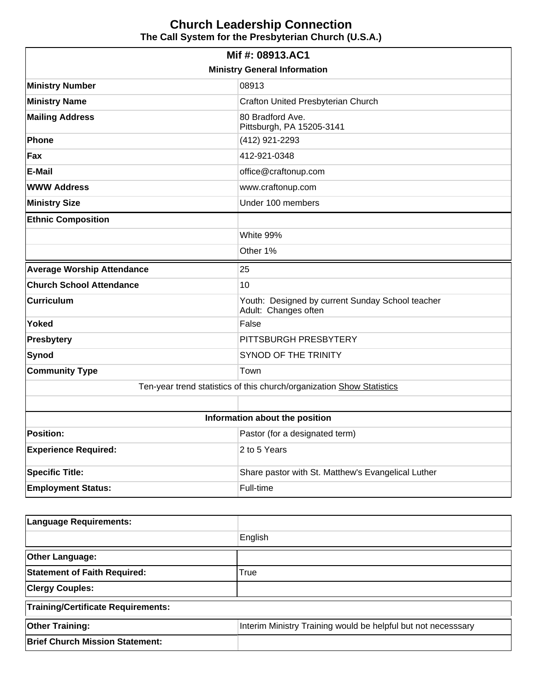## **Church Leadership Connection The Call System for the Presbyterian Church (U.S.A.)**

| Mif #: 08913.AC1                    |                                                                          |  |  |  |
|-------------------------------------|--------------------------------------------------------------------------|--|--|--|
| <b>Ministry General Information</b> |                                                                          |  |  |  |
| <b>Ministry Number</b>              | 08913                                                                    |  |  |  |
| <b>Ministry Name</b>                | Crafton United Presbyterian Church                                       |  |  |  |
| <b>Mailing Address</b>              | 80 Bradford Ave.<br>Pittsburgh, PA 15205-3141                            |  |  |  |
| <b>Phone</b>                        | (412) 921-2293                                                           |  |  |  |
| Fax                                 | 412-921-0348                                                             |  |  |  |
| <b>E-Mail</b>                       | office@craftonup.com                                                     |  |  |  |
| <b>WWW Address</b>                  | www.craftonup.com                                                        |  |  |  |
| <b>Ministry Size</b>                | Under 100 members                                                        |  |  |  |
| <b>Ethnic Composition</b>           |                                                                          |  |  |  |
|                                     | White 99%                                                                |  |  |  |
|                                     | Other 1%                                                                 |  |  |  |
| <b>Average Worship Attendance</b>   | 25                                                                       |  |  |  |
| <b>Church School Attendance</b>     | 10                                                                       |  |  |  |
| <b>Curriculum</b>                   | Youth: Designed by current Sunday School teacher<br>Adult: Changes often |  |  |  |
| <b>Yoked</b>                        | False                                                                    |  |  |  |
| <b>Presbytery</b>                   | PITTSBURGH PRESBYTERY                                                    |  |  |  |
| Synod                               | SYNOD OF THE TRINITY                                                     |  |  |  |
| <b>Community Type</b>               | Town                                                                     |  |  |  |
|                                     | Ten-year trend statistics of this church/organization Show Statistics    |  |  |  |
|                                     |                                                                          |  |  |  |
| Information about the position      |                                                                          |  |  |  |
| <b>Position:</b>                    | Pastor (for a designated term)                                           |  |  |  |
| <b>Experience Required:</b>         | 2 to 5 Years                                                             |  |  |  |
| <b>Specific Title:</b>              | Share pastor with St. Matthew's Evangelical Luther                       |  |  |  |
| <b>Employment Status:</b>           | Full-time                                                                |  |  |  |

| Language Requirements:                    |                                                               |  |  |
|-------------------------------------------|---------------------------------------------------------------|--|--|
|                                           | English                                                       |  |  |
| <b>Other Language:</b>                    |                                                               |  |  |
| <b>Statement of Faith Required:</b>       | True                                                          |  |  |
| <b>Clergy Couples:</b>                    |                                                               |  |  |
| <b>Training/Certificate Requirements:</b> |                                                               |  |  |
| <b>Other Training:</b>                    | Interim Ministry Training would be helpful but not necesssary |  |  |
| <b>Brief Church Mission Statement:</b>    |                                                               |  |  |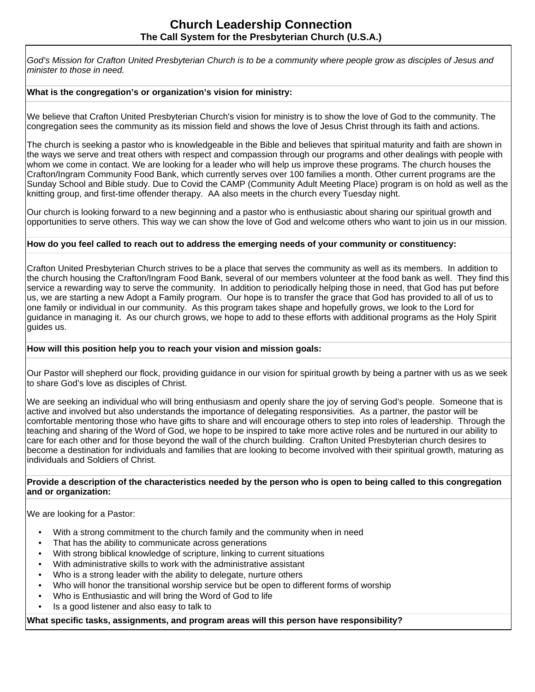God's Mission for Crafton United Presbyterian Church is to be a community where people grow as disciples of Jesus and minister to those in need.

### **What is the congregation's or organization's vision for ministry:**

We believe that Crafton United Presbyterian Church's vision for ministry is to show the love of God to the community. The congregation sees the community as its mission field and shows the love of Jesus Christ through its faith and actions.

The church is seeking a pastor who is knowledgeable in the Bible and believes that spiritual maturity and faith are shown in the ways we serve and treat others with respect and compassion through our programs and other dealings with people with whom we come in contact. We are looking for a leader who will help us improve these programs. The church houses the Crafton/Ingram Community Food Bank, which currently serves over 100 families a month. Other current programs are the Sunday School and Bible study. Due to Covid the CAMP (Community Adult Meeting Place) program is on hold as well as the knitting group, and first-time offender therapy. AA also meets in the church every Tuesday night.

Our church is looking forward to a new beginning and a pastor who is enthusiastic about sharing our spiritual growth and opportunities to serve others. This way we can show the love of God and welcome others who want to join us in our mission.

#### **How do you feel called to reach out to address the emerging needs of your community or constituency:**

Crafton United Presbyterian Church strives to be a place that serves the community as well as its members. In addition to the church housing the Crafton/Ingram Food Bank, several of our members volunteer at the food bank as well. They find this service a rewarding way to serve the community. In addition to periodically helping those in need, that God has put before us, we are starting a new Adopt a Family program. Our hope is to transfer the grace that God has provided to all of us to one family or individual in our community. As this program takes shape and hopefully grows, we look to the Lord for guidance in managing it. As our church grows, we hope to add to these efforts with additional programs as the Holy Spirit guides us.

### **How will this position help you to reach your vision and mission goals:**

Our Pastor will shepherd our flock, providing guidance in our vision for spiritual growth by being a partner with us as we seek to share God's love as disciples of Christ.

We are seeking an individual who will bring enthusiasm and openly share the joy of serving God's people. Someone that is active and involved but also understands the importance of delegating responsivities. As a partner, the pastor will be comfortable mentoring those who have gifts to share and will encourage others to step into roles of leadership. Through the teaching and sharing of the Word of God, we hope to be inspired to take more active roles and be nurtured in our ability to care for each other and for those beyond the wall of the church building. Crafton United Presbyterian church desires to become a destination for individuals and families that are looking to become involved with their spiritual growth, maturing as individuals and Soldiers of Christ.

#### **Provide a description of the characteristics needed by the person who is open to being called to this congregation and or organization:**

We are looking for a Pastor:

- With a strong commitment to the church family and the community when in need
- That has the ability to communicate across generations
- With strong biblical knowledge of scripture, linking to current situations
- With administrative skills to work with the administrative assistant
- Who is a strong leader with the ability to delegate, nurture others
- Who will honor the transitional worship service but be open to different forms of worship
- Who is Enthusiastic and will bring the Word of God to life
- Is a good listener and also easy to talk to

**What specific tasks, assignments, and program areas will this person have responsibility?**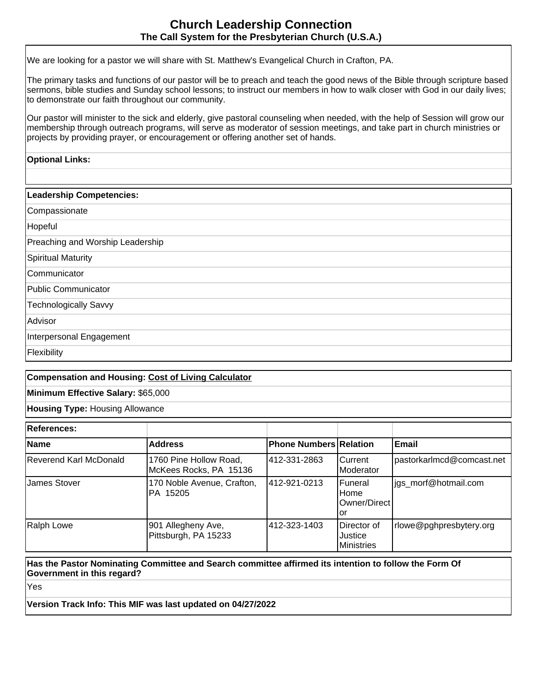## **Church Leadership Connection The Call System for the Presbyterian Church (U.S.A.)**

We are looking for a pastor we will share with St. Matthew's Evangelical Church in Crafton, PA.

The primary tasks and functions of our pastor will be to preach and teach the good news of the Bible through scripture based sermons, bible studies and Sunday school lessons; to instruct our members in how to walk closer with God in our daily lives; to demonstrate our faith throughout our community.

Our pastor will minister to the sick and elderly, give pastoral counseling when needed, with the help of Session will grow our membership through outreach programs, will serve as moderator of session meetings, and take part in church ministries or projects by providing prayer, or encouragement or offering another set of hands.

## **Optional Links:**

| <b>Leadership Competencies:</b>  |
|----------------------------------|
| Compassionate                    |
| Hopeful                          |
| Preaching and Worship Leadership |
| Spiritual Maturity               |
| Communicator                     |
| Public Communicator              |
| Technologically Savvy            |
| Advisor                          |
| Interpersonal Engagement         |
| Flexibility                      |

## **Compensation and Housing: [Cost of Living Calculator](http://www.bankrate.com/brm/movecalc.asp)**

**Minimum Effective Salary:** \$65,000

**Housing Type:** Housing Allowance

| <b>References:</b>     |                                                  |                               |                                                |                           |
|------------------------|--------------------------------------------------|-------------------------------|------------------------------------------------|---------------------------|
| <b>Name</b>            | <b>Address</b>                                   | <b>Phone Numbers Relation</b> |                                                | Email                     |
| Reverend Karl McDonald | 1760 Pine Hollow Road,<br>McKees Rocks, PA 15136 | 412-331-2863                  | ICurrent<br>Moderator                          | pastorkarlmcd@comcast.net |
| <b>James Stover</b>    | 170 Noble Avenue, Crafton,<br>IPA 15205          | 1412-921-0213                 | lFuneral<br>Home<br>IOwner/Direct l<br>'or     | igs morf@hotmail.com      |
| Ralph Lowe             | 901 Allegheny Ave,<br>Pittsburgh, PA 15233       | 412-323-1403                  | IDirector of<br>Justice<br><b>I</b> Ministries | rlowe@pghpresbytery.org   |

### **Has the Pastor Nominating Committee and Search committee affirmed its intention to follow the Form Of Government in this regard?**

Yes

**Version Track Info: This MIF was last updated on 04/27/2022**